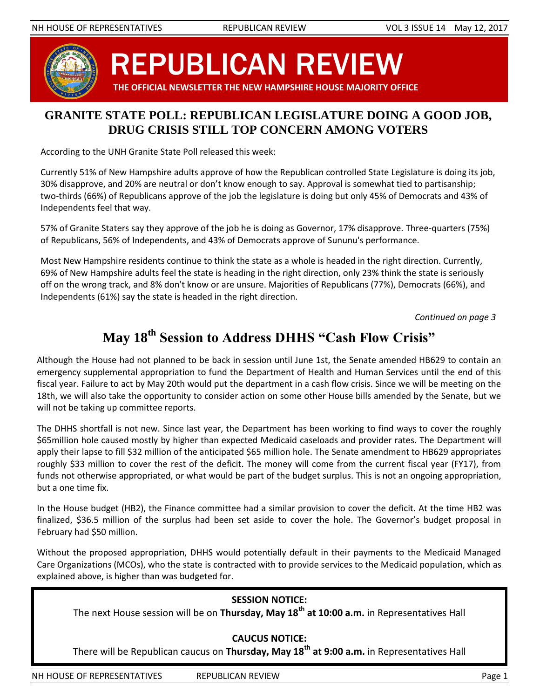

REPUBLICAN REVIEW **THE OFFICIAL NEWSLETTER THE NEW HAMPSHIRE HOUSE MAJORITY OFFICE**

### **GRANITE STATE POLL: REPUBLICAN LEGISLATURE DOING A GOOD JOB, DRUG CRISIS STILL TOP CONCERN AMONG VOTERS**

According to the UNH Granite State Poll released this week:

Currently 51% of New Hampshire adults approve of how the Republican controlled State Legislature is doing its job, 30% disapprove, and 20% are neutral or don't know enough to say. Approval is somewhat tied to partisanship; two-thirds (66%) of Republicans approve of the job the legislature is doing but only 45% of Democrats and 43% of Independents feel that way.

57% of Granite Staters say they approve of the job he is doing as Governor, 17% disapprove. Three-quarters (75%) of Republicans, 56% of Independents, and 43% of Democrats approve of Sununu's performance.

Most New Hampshire residents continue to think the state as a whole is headed in the right direction. Currently, 69% of New Hampshire adults feel the state is heading in the right direction, only 23% think the state is seriously off on the wrong track, and 8% don't know or are unsure. Majorities of Republicans (77%), Democrats (66%), and Independents (61%) say the state is headed in the right direction.

*Continued on page 3*

# **May 18th Session to Address DHHS "Cash Flow Crisis"**

Although the House had not planned to be back in session until June 1st, the Senate amended HB629 to contain an emergency supplemental appropriation to fund the Department of Health and Human Services until the end of this fiscal year. Failure to act by May 20th would put the department in a cash flow crisis. Since we will be meeting on the 18th, we will also take the opportunity to consider action on some other House bills amended by the Senate, but we will not be taking up committee reports.

The DHHS shortfall is not new. Since last year, the Department has been working to find ways to cover the roughly \$65million hole caused mostly by higher than expected Medicaid caseloads and provider rates. The Department will apply their lapse to fill \$32 million of the anticipated \$65 million hole. The Senate amendment to HB629 appropriates roughly \$33 million to cover the rest of the deficit. The money will come from the current fiscal year (FY17), from funds not otherwise appropriated, or what would be part of the budget surplus. This is not an ongoing appropriation, but a one time fix.

In the House budget (HB2), the Finance committee had a similar provision to cover the deficit. At the time HB2 was finalized, \$36.5 million of the surplus had been set aside to cover the hole. The Governor's budget proposal in February had \$50 million.

Without the proposed appropriation, DHHS would potentially default in their payments to the Medicaid Managed Care Organizations (MCOs), who the state is contracted with to provide services to the Medicaid population, which as explained above, is higher than was budgeted for.

#### **SESSION NOTICE:**

The next House session will be on **Thursday, May 18th at 10:00 a.m.** in Representatives Hall

#### **CAUCUS NOTICE:**

There will be Republican caucus on **Thursday, May 18th at 9:00 a.m.** in Representatives Hall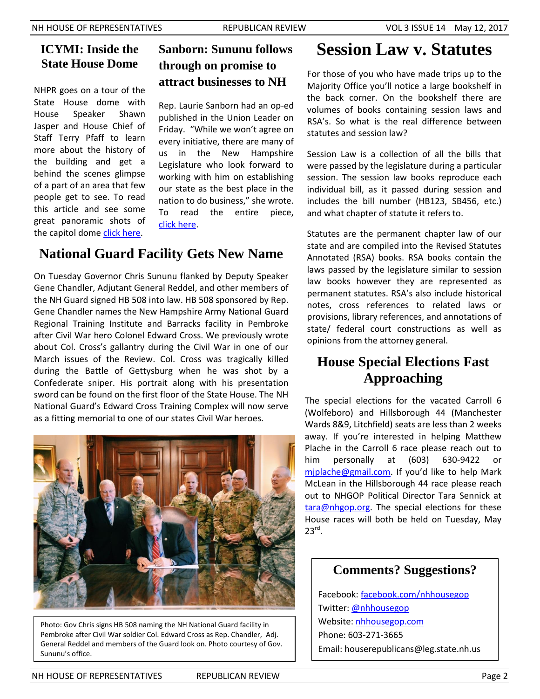### **ICYMI: Inside the State House Dome**

NHPR goes on a tour of the State House dome with House Speaker Shawn Jasper and House Chief of Staff Terry Pfaff to learn more about the history of the building and get a behind the scenes glimpse of a part of an area that few people get to see. To read this article and see some great panoramic shots of the capitol dome [click here.](http://nhpr.org/post/rare-view-take-look-inside-nh-state-house-dome)

## **Sanborn: Sununu follows through on promise to attract businesses to NH**

Rep. Laurie Sanborn had an op-ed published in the Union Leader on Friday. "While we won't agree on every initiative, there are many of us in the New Hampshire Legislature who look forward to working with him on establishing our state as the best place in the nation to do business," she wrote. To read the entire piece, [click here.](http://www.unionleader.com/Another-View-Laurie-Sanborn-Sununu-follows-through-on-promise-to-attract-businesses-to-NH-05122017)

# **National Guard Facility Gets New Name**

On Tuesday Governor Chris Sununu flanked by Deputy Speaker Gene Chandler, Adjutant General Reddel, and other members of the NH Guard signed HB 508 into law. HB 508 sponsored by Rep. Gene Chandler names the New Hampshire Army National Guard Regional Training Institute and Barracks facility in Pembroke after Civil War hero Colonel Edward Cross. We previously wrote about Col. Cross's gallantry during the Civil War in one of our March issues of the Review. Col. Cross was tragically killed during the Battle of Gettysburg when he was shot by a Confederate sniper. His portrait along with his presentation sword can be found on the first floor of the State House. The NH National Guard's Edward Cross Training Complex will now serve as a fitting memorial to one of our states Civil War heroes.



Photo: Gov Chris signs HB 508 naming the NH National Guard facility in Pembroke after Civil War soldier Col. Edward Cross as Rep. Chandler, Adj. General Reddel and members of the Guard look on. Photo courtesy of Gov. Sununu's office.

# **Session Law v. Statutes**

For those of you who have made trips up to the Majority Office you'll notice a large bookshelf in the back corner. On the bookshelf there are volumes of books containing session laws and RSA's. So what is the real difference between statutes and session law?

Session Law is a collection of all the bills that were passed by the legislature during a particular session. The session law books reproduce each individual bill, as it passed during session and includes the bill number (HB123, SB456, etc.) and what chapter of statute it refers to.

Statutes are the permanent chapter law of our state and are compiled into the Revised Statutes Annotated (RSA) books. RSA books contain the laws passed by the legislature similar to session law books however they are represented as permanent statutes. RSA's also include historical notes, cross references to related laws or provisions, library references, and annotations of state/ federal court constructions as well as opinions from the attorney general.

## **House Special Elections Fast Approaching**

The special elections for the vacated Carroll 6 (Wolfeboro) and Hillsborough 44 (Manchester Wards 8&9, Litchfield) seats are less than 2 weeks away. If you're interested in helping Matthew Plache in the Carroll 6 race please reach out to him personally at (603) 630-9422 or [mjplache@gmail.com](mailto:mjplache@gmail.com). If you'd like to help Mark McLean in the Hillsborough 44 race please reach out to NHGOP Political Director Tara Sennick at [tara@nhgop.org.](mailto:tara@nhgop.org) The special elections for these House races will both be held on Tuesday, May  $23^{\text{rd}}$ .

### **Comments? Suggestions?**

Facebook: [facebook.com/nhhousegop](https://www.facebook.com/nhhousegop/) Twitter[: @nhhousegop](https://twitter.com/NHHouseGOP) Website: [nhhousegop.com](http://nhhousegop.com/) Phone: 603-271-3665 Email: houserepublicans@leg.state.nh.us